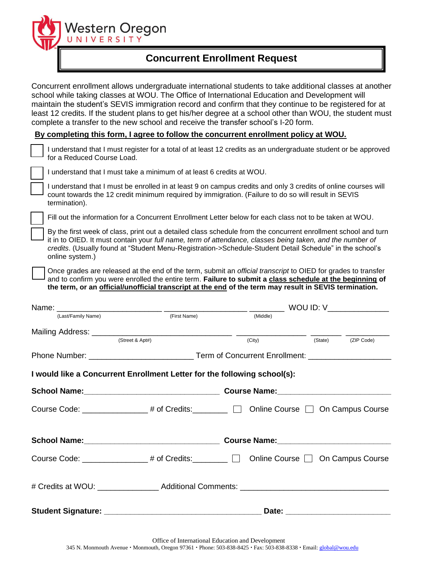Western Oregon<br>UNIVERSITY

## **Concurrent Enrollment Request**

Concurrent enrollment allows undergraduate international students to take additional classes at another school while taking classes at WOU. The Office of International Education and Development will maintain the student's SEVIS immigration record and confirm that they continue to be registered for at least 12 credits. If the student plans to get his/her degree at a school other than WOU, the student must complete a transfer to the new school and receive the transfer school's I-20 form.

**By completing this form, I agree to follow the concurrent enrollment policy at WOU.** 

|                                                                                                                                                                                                                                                                                                                                                            | <u>By completing this form, I agree to follow the concurrent enforment policy at WOU.</u>                                                                                                                                                                                                                                                  |                     |                                                    |         |            |  |
|------------------------------------------------------------------------------------------------------------------------------------------------------------------------------------------------------------------------------------------------------------------------------------------------------------------------------------------------------------|--------------------------------------------------------------------------------------------------------------------------------------------------------------------------------------------------------------------------------------------------------------------------------------------------------------------------------------------|---------------------|----------------------------------------------------|---------|------------|--|
|                                                                                                                                                                                                                                                                                                                                                            | I understand that I must register for a total of at least 12 credits as an undergraduate student or be approved<br>for a Reduced Course Load.                                                                                                                                                                                              |                     |                                                    |         |            |  |
|                                                                                                                                                                                                                                                                                                                                                            | I understand that I must take a minimum of at least 6 credits at WOU.                                                                                                                                                                                                                                                                      |                     |                                                    |         |            |  |
|                                                                                                                                                                                                                                                                                                                                                            | I understand that I must be enrolled in at least 9 on campus credits and only 3 credits of online courses will<br>count towards the 12 credit minimum required by immigration. (Failure to do so will result in SEVIS<br>termination).                                                                                                     |                     |                                                    |         |            |  |
|                                                                                                                                                                                                                                                                                                                                                            | Fill out the information for a Concurrent Enrollment Letter below for each class not to be taken at WOU.                                                                                                                                                                                                                                   |                     |                                                    |         |            |  |
| By the first week of class, print out a detailed class schedule from the concurrent enrollment school and turn<br>it in to OIED. It must contain your full name, term of attendance, classes being taken, and the number of<br>credits. (Usually found at "Student Menu-Registration->Schedule-Student Detail Schedule" in the school's<br>online system.) |                                                                                                                                                                                                                                                                                                                                            |                     |                                                    |         |            |  |
|                                                                                                                                                                                                                                                                                                                                                            | Once grades are released at the end of the term, submit an <i>official transcript</i> to OIED for grades to transfer<br>and to confirm you were enrolled the entire term. Failure to submit a class schedule at the beginning of<br>the term, or an official/unofficial transcript at the end of the term may result in SEVIS termination. |                     |                                                    |         |            |  |
|                                                                                                                                                                                                                                                                                                                                                            |                                                                                                                                                                                                                                                                                                                                            |                     |                                                    |         |            |  |
|                                                                                                                                                                                                                                                                                                                                                            | (Last/Family Name)                                                                                                                                                                                                                                                                                                                         | (First Name)        | (Middle)                                           |         |            |  |
|                                                                                                                                                                                                                                                                                                                                                            |                                                                                                                                                                                                                                                                                                                                            |                     |                                                    |         |            |  |
|                                                                                                                                                                                                                                                                                                                                                            |                                                                                                                                                                                                                                                                                                                                            | (Street & Apt#)     | (City)                                             | (State) | (ZIP Code) |  |
|                                                                                                                                                                                                                                                                                                                                                            |                                                                                                                                                                                                                                                                                                                                            |                     | Phone Number: Department of Concurrent Enrollment: |         |            |  |
|                                                                                                                                                                                                                                                                                                                                                            | I would like a Concurrent Enrollment Letter for the following school(s):                                                                                                                                                                                                                                                                   |                     |                                                    |         |            |  |
|                                                                                                                                                                                                                                                                                                                                                            |                                                                                                                                                                                                                                                                                                                                            |                     |                                                    |         |            |  |
| Course Code: _______________# of Credits: ________ □ Online Course □ On Campus Course                                                                                                                                                                                                                                                                      |                                                                                                                                                                                                                                                                                                                                            |                     |                                                    |         |            |  |
| <b>School Name:</b>                                                                                                                                                                                                                                                                                                                                        |                                                                                                                                                                                                                                                                                                                                            | <b>Course Name:</b> |                                                    |         |            |  |
|                                                                                                                                                                                                                                                                                                                                                            | Course Code: _______________# of Credits: ________ □ Online Course □ On Campus Course                                                                                                                                                                                                                                                      |                     |                                                    |         |            |  |
|                                                                                                                                                                                                                                                                                                                                                            |                                                                                                                                                                                                                                                                                                                                            |                     |                                                    |         |            |  |
|                                                                                                                                                                                                                                                                                                                                                            |                                                                                                                                                                                                                                                                                                                                            |                     |                                                    |         |            |  |